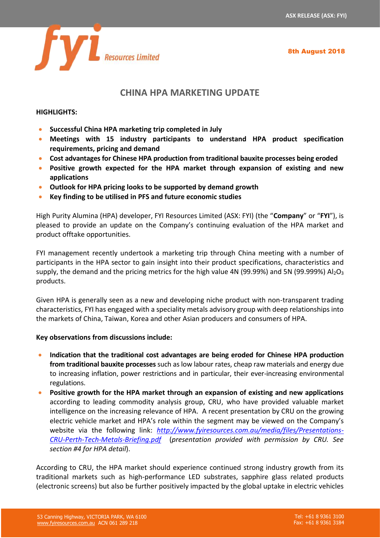8th August 2018



## **CHINA HPA MARKETING UPDATE**

## **HIGHLIGHTS:**

- **Successful China HPA marketing trip completed in July**
- **Meetings with 15 industry participants to understand HPA product specification requirements, pricing and demand**
- **Cost advantages for Chinese HPA production from traditional bauxite processes being eroded**
- **Positive growth expected for the HPA market through expansion of existing and new applications**
- **Outlook for HPA pricing looks to be supported by demand growth**
- **Key finding to be utilised in PFS and future economic studies**

High Purity Alumina (HPA) developer, FYI Resources Limited (ASX: FYI) (the "**Company**" or "**FYI**"), is pleased to provide an update on the Company's continuing evaluation of the HPA market and product offtake opportunities.

FYI management recently undertook a marketing trip through China meeting with a number of participants in the HPA sector to gain insight into their product specifications, characteristics and supply, the demand and the pricing metrics for the high value 4N (99.99%) and 5N (99.999%)  $Al_2O_3$ products.

Given HPA is generally seen as a new and developing niche product with non-transparent trading characteristics, FYI has engaged with a speciality metals advisory group with deep relationships into the markets of China, Taiwan, Korea and other Asian producers and consumers of HPA.

## **Key observations from discussions include:**

- **Indication that the traditional cost advantages are being eroded for Chinese HPA production from traditional bauxite processes** such as low labour rates, cheap raw materials and energy due to increasing inflation, power restrictions and in particular, their ever-increasing environmental regulations.
- **Positive growth for the HPA market through an expansion of existing and new applications** according to leading commodity analysis group, CRU, who have provided valuable market intelligence on the increasing relevance of HPA. A recent presentation by CRU on the growing electric vehicle market and HPA's role within the segment may be viewed on the Company's website via the following link: *[http://www.fyiresources.com.au/media/files/Presentations-](http://www.fyiresources.com.au/media/files/Presentations-CRU-Perth-Tech-Metals-Briefing.pdf)[CRU-Perth-Tech-Metals-Briefing.pdf](http://www.fyiresources.com.au/media/files/Presentations-CRU-Perth-Tech-Metals-Briefing.pdf)* (*presentation provided with permission by CRU. See section #4 for HPA detail*).

According to CRU, the HPA market should experience continued strong industry growth from its traditional markets such as high-performance LED substrates, sapphire glass related products (electronic screens) but also be further positively impacted by the global uptake in electric vehicles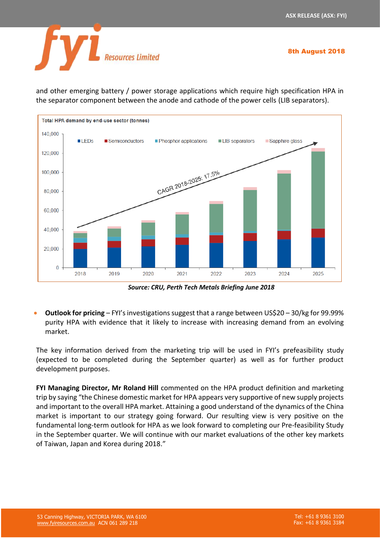8th August 2018



and other emerging battery / power storage applications which require high specification HPA in the separator component between the anode and cathode of the power cells (LIB separators).



*Source: CRU, Perth Tech Metals Briefing June 2018*

• **Outlook for pricing** – FYI's investigations suggest that a range between US\$20 – 30/kg for 99.99% purity HPA with evidence that it likely to increase with increasing demand from an evolving market.

The key information derived from the marketing trip will be used in FYI's prefeasibility study (expected to be completed during the September quarter) as well as for further product development purposes.

**FYI Managing Director, Mr Roland Hill** commented on the HPA product definition and marketing trip by saying "the Chinese domestic market for HPA appears very supportive of new supply projects and important to the overall HPA market. Attaining a good understand of the dynamics of the China market is important to our strategy going forward. Our resulting view is very positive on the fundamental long-term outlook for HPA as we look forward to completing our Pre-feasibility Study in the September quarter. We will continue with our market evaluations of the other key markets of Taiwan, Japan and Korea during 2018."